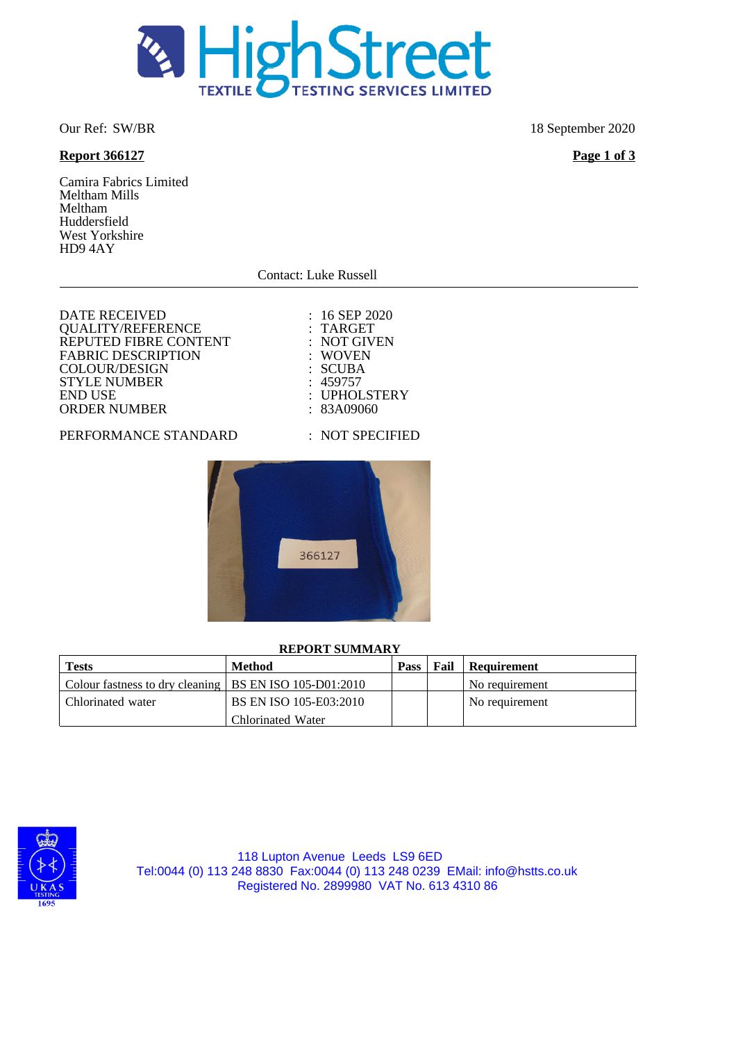

# **Report 366127 Page 1 of 3**

Camira Fabrics Limited Meltham Mills Meltham Huddersfield West Yorkshire HD9 4AY

Contact: Luke Russell

 $: 16$  SEP 2020 : TARGET : NOT GIVEN : WOVEN : SCUBA  $: 459757$ 

: UPHOLSTERY  $: 83A09060$ 

| <b>DATE RECEIVED</b>      |
|---------------------------|
| <b>QUALITY/REFERENCE</b>  |
| REPUTED FIBRE CONTENT     |
| <b>FABRIC DESCRIPTION</b> |
| <b>COLOUR/DESIGN</b>      |
| <b>STYLE NUMBER</b>       |
| <b>END USE</b>            |
| <b>ORDER NUMBER</b>       |
|                           |

#### PERFORMANCE STANDA

| ۱RD | : NOT SPECIFIED |  |  |  |  |
|-----|-----------------|--|--|--|--|
|     |                 |  |  |  |  |
|     | 366127          |  |  |  |  |
|     |                 |  |  |  |  |

#### **REPORT SUMMARY**

| <b>Tests</b>                                             | <b>Method</b>          | Pass | Fail | Requirement    |
|----------------------------------------------------------|------------------------|------|------|----------------|
| Colour fastness to dry cleaning   BS EN ISO 105-D01:2010 |                        |      |      | No requirement |
| Chlorinated water                                        | BS EN ISO 105-E03:2010 |      |      | No requirement |
|                                                          | Chlorinated Water      |      |      |                |



118 Lupton Avenue Leeds LS9 6ED Tel:0044 (0) 113 248 8830 Fax:0044 (0) 113 248 0239 EMail: info@hstts.co.uk Registered No. 2899980 VAT No. 613 4310 86

Our Ref: SW/BR 18 September 2020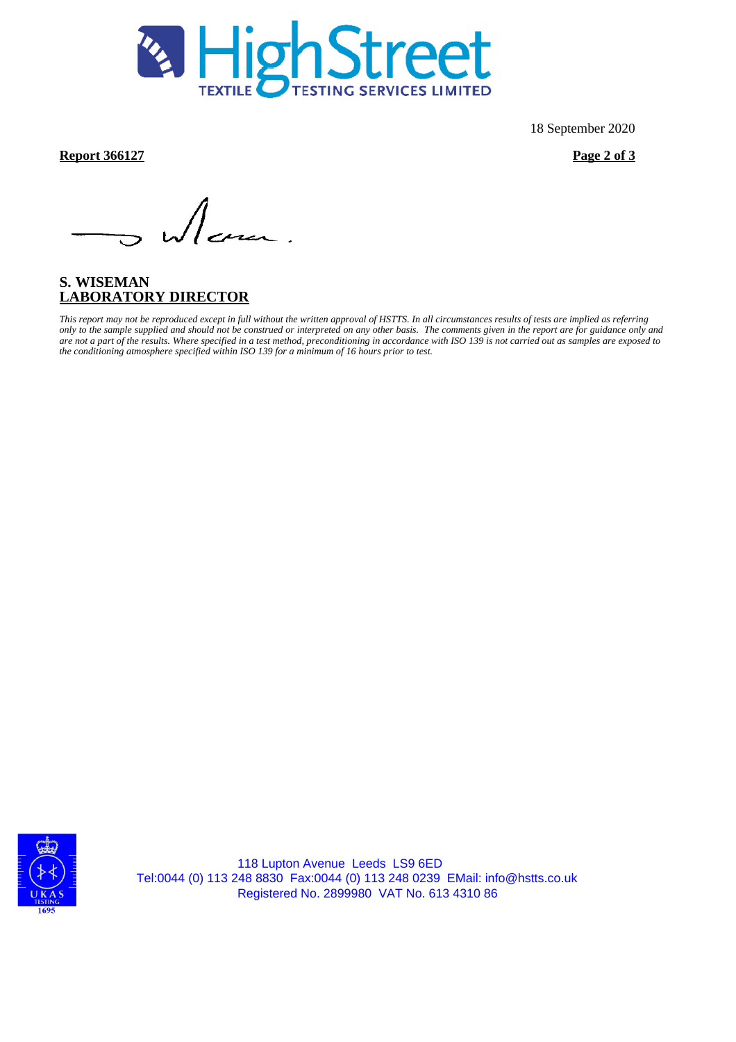

18 September 2020

**Report 366127 Page 2 of 3**

dem.

# **S. WISEMAN LABORATORY DIRECTOR**

*This report may not be reproduced except in full without the written approval of HSTTS. In all circumstances results of tests are implied as referring only to the sample supplied and should not be construed or interpreted on any other basis. The comments given in the report are for guidance only and are not a part of the results. Where specified in a test method, preconditioning in accordance with ISO 139 is not carried out as samples are exposed to the conditioning atmosphere specified within ISO 139 for a minimum of 16 hours prior to test.*



118 Lupton Avenue Leeds LS9 6ED Tel:0044 (0) 113 248 8830 Fax:0044 (0) 113 248 0239 EMail: info@hstts.co.uk Registered No. 2899980 VAT No. 613 4310 86